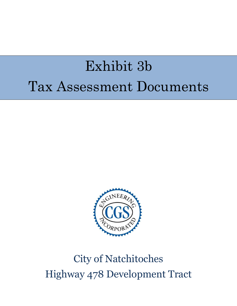# Exhibit 3b Tax Assessment Documents



## City of Natchitoches Highway 478 Development Tract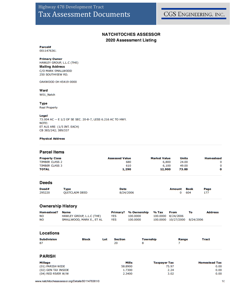CGS ENGINEERING, INC.

## **NATCHITOCHES ASSESSOR** 2020 Assessment Listing

Parcel# 0011476361

#### **Primary Owner**

HAWLEY GROUP, L.L.C (THE) **Mailing Address** C/O MARK SMALLWOOD 250 SOUTHVIEW RD.

OAKWOOD OH 45419-0000

#### Ward

W01\_Natch

#### Type

**Real Property** 

#### Legal

73.004 AC -- E 1/2 OF SE SEC. 20-8-7, LESS 6.216 AC TO HWY. NOTE: ET ALS ARE: (1/5 INT. EACH) CB 383/242; 389/337

#### **Physical Address**

#### **Parcel Items**

| <b>Assessed Value</b> | <b>Market Value</b> | <b>Units</b> | <b>Homestead</b> |
|-----------------------|---------------------|--------------|------------------|
| 680                   | 6.800               | 24.00        |                  |
| 610                   | 6,100               | 49.00        |                  |
| 1,290                 | 12,900              | 73.00        |                  |
|                       |                     |              |                  |

#### **Deeds**

| Deed#  | Type                  | Date      | <b>Amount Book</b> | Page |
|--------|-----------------------|-----------|--------------------|------|
| 295220 | <b>QUITCLAIM DEED</b> | 8/24/2006 | 0 604              |      |

## **Ownership History**

| Homestead? | Na me                     |            | Primary? % Ownership % Tax |                    | From                          | то | <b>Address</b> |
|------------|---------------------------|------------|----------------------------|--------------------|-------------------------------|----|----------------|
| NΟ         | HAWLEY GROUP, L.L.C (THE) | YES        | 100.0000                   | 100.0000 8/24/2006 |                               |    |                |
| NΟ         | SMALLWOOD, MARK E., ET AL | <b>YES</b> | 100.0000                   |                    | 100.0000 10/27/2000 8/24/2006 |    |                |

#### Locations

| <b>Subdivision</b> | Block | Lot | Section | <b>Township</b> | Range | <b>Tract</b> |
|--------------------|-------|-----|---------|-----------------|-------|--------------|
| 87                 |       |     | 20      |                 |       |              |

## **PARISH**

| <b>Millage</b>      | Mills   | <b>Taxpayer Tax</b> | <b>Homestead Tax</b> |
|---------------------|---------|---------------------|----------------------|
| (01) PARISH WIDE    | 58,8900 | 75.97               | 0.00                 |
| (02) GEN TAX INSIDE | 1.7300  | 2.24                | 0.00                 |
| (04) RED RIVER W/W  | 2.3400  | 3.02                | 0.00                 |

www.natchitochesassessor.org/Details/0011476361/0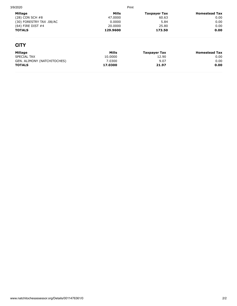| 3/9/2020                 | Print    |              |                      |
|--------------------------|----------|--------------|----------------------|
| Millage                  | Mills    | Taxpayer Tax | <b>Homestead Tax</b> |
| $(28)$ CON SCH $#8$      | 47.0000  | 60.63        | 0.00                 |
| (30) FORESTRY TAX .08/AC | 0.0000   | 5.84         | 0.00                 |
| $(64)$ FIRE DIST #4      | 20,0000  | 25.80        | 0.00                 |
| <b>TOTALS</b>            | 129.9600 | 173.50       | 0.00                 |

## **CITY**

| Millage                     | Mills   | Taxpayer Tax | <b>Homestead Tax</b> |
|-----------------------------|---------|--------------|----------------------|
| SPECIAL TAX                 | 10.0000 | 12.90        | 0.00                 |
| GEN. ALIMONY (NATCHITOCHES) | 7.0300  | 9.07         | 0.00                 |
| <b>TOTALS</b>               | 17.0300 | 21.97        | 0.00                 |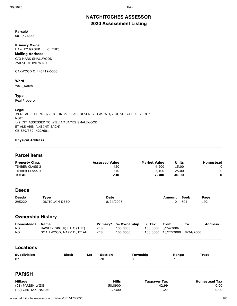## NATCHITOCHES ASSESSOR 2020 Assessment Listing

**Parcel#** 0011476363

**Primary Owner** HAWLEY GROUP, L.L.C (THE) Mailing Address C/O MARK SMALLWOOD 250 SOUTHVIEW RD.

OAKWOOD OH 45419-0000

## Ward

W01\_Natch

#### Type

Real Property

#### **Legal**

39.61 AC -- BEING 1/2 INT. IN 79.22 AC. DESCRIBED AS W 1/2 OF SE 1/4 SEC. 20-8-7 NOTE: 1/2 INT. ASSESSED TO WILLIAM JAMES SMALLWOOD ET ALS ARE: (1/5 INT. EACH) CB 389/339; 422/601

#### **Physical Address**

## Parcel Items

| <b>Property Class</b> | <b>Assessed Value</b> | <b>Market Value</b> | Units | Homestead |
|-----------------------|-----------------------|---------------------|-------|-----------|
| TIMBER CLASS 2        | 420                   | 4,200               | 15.00 |           |
| TIMBER CLASS 3        | 310                   | 3,100               | 25.00 |           |
| <b>TOTAL</b>          | 730                   | 7,300               | 40.00 | 0         |

## **Deeds**

| Deed#  | ™vpe           | <b>Date</b> | <b>Amount Book</b> |     | Page |
|--------|----------------|-------------|--------------------|-----|------|
| 295220 | OUITCLAIM DEED | 8/24/2006   |                    | 604 | 192  |

## Ownership History

| Homestead? | <b>Name</b>               |      | Primary? % Ownership % Tax | <b>From</b>                   | Тο | <b>Address</b> |
|------------|---------------------------|------|----------------------------|-------------------------------|----|----------------|
| NO.        | HAWLEY GROUP, L.L.C (THE) | YES. | 100.0000                   | 100.0000 8/24/2006            |    |                |
| <b>NO</b>  | SMALLWOOD, MARK E., ET AL | YES. | 100.0000                   | 100.0000 10/27/2000 8/24/2006 |    |                |

## Locations

| <b>Subdivision</b> | <b>Block</b> | Lot | Section | Township | Range | Tract |
|--------------------|--------------|-----|---------|----------|-------|-------|
| 87                 |              |     | 20      |          |       |       |
|                    |              |     |         |          |       |       |

## PARISH

| Millage             | Mills   | Taxpayer Tax | <b>Homestead Tax</b> |
|---------------------|---------|--------------|----------------------|
| (01) PARISH WIDE    | 58,8900 | 42.99        | 0.00                 |
| (02) GEN TAX INSIDE | 1.7300  | 1.27         | 0.00                 |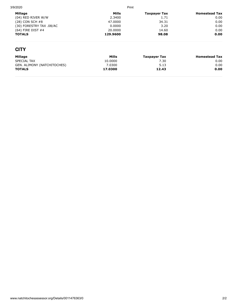| 3/9/2020                    | Print    |                     |                      |  |
|-----------------------------|----------|---------------------|----------------------|--|
| Millage                     | Mills    | <b>Taxpayer Tax</b> | <b>Homestead Tax</b> |  |
| (04) RED RIVER W/W          | 2.3400   | 1.71                | 0.00                 |  |
| (28) CON SCH #8             | 47,0000  | 34.31               | 0.00                 |  |
| (30) FORESTRY TAX .08/AC    | 0.0000   | 3.20                | 0.00                 |  |
| (64) FIRE DIST #4           | 20,0000  | 14.60               | 0.00                 |  |
| <b>TOTALS</b>               | 129.9600 | 98.08               | 0.00                 |  |
| <b>CITY</b>                 |          |                     |                      |  |
| Millage                     | Mills    | <b>Taxpayer Tax</b> | <b>Homestead Tax</b> |  |
| SPECIAL TAX                 | 10.0000  | 7.30                | 0.00                 |  |
| GEN. ALIMONY (NATCHITOCHES) | 7.0300   | 5.13                | 0.00                 |  |
| <b>TOTALS</b>               | 17.0300  | 12.43               | 0.00                 |  |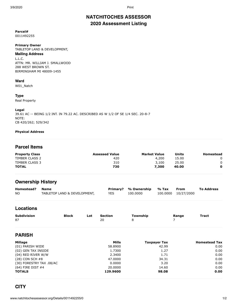## NATCHITOCHES ASSESSOR 2020 Assessment Listing

#### **Parcel#** 0011492255

## **Primary Owner**

TABLETOP LAND & DEVELOPMENT,

## Mailing Address

L.L.C. ATTN: MR. WILLIAM J. SMALLWOOD 288 WEST BROWN ST. BIRMINGHAM MI 48009-1455

#### Ward

W01\_Natch

#### Type

Real Property

#### **Legal**

39.61 AC -- BEING 1/2 INT. IN 79.22 AC. DESCRIBED AS W 1/2 OF SE 1/4 SEC. 20-8-7 NOTE: CB 420/262; 529/342

#### **Physical Address**

## Parcel Items

| <b>Property Class</b> | <b>Assessed Value</b> | <b>Market Value</b> | Units | Homestead |
|-----------------------|-----------------------|---------------------|-------|-----------|
| TIMBER CLASS 2        | 420                   | 4,200               | 15.00 |           |
| TIMBER CLASS 3        | 310                   | 3,100               | 25.00 |           |
| <b>TOTAL</b>          | 730                   | 7,300               | 40.00 | 0         |

## Ownership History

| Homestead? | <b>Name</b>                  |      | Primary? % Ownership % Tax | <b>From</b>         | <b>To Address</b> |
|------------|------------------------------|------|----------------------------|---------------------|-------------------|
| <b>NO</b>  | TABLETOP LAND & DEVELOPMENT, | YES. | 100.0000                   | 100.0000 10/27/2000 |                   |

## Locations

| <b>Subdivision</b><br>87 | <b>Block</b> | Lot | <b>Section</b><br>20 | Township<br>8       | Range | <b>Tract</b>         |
|--------------------------|--------------|-----|----------------------|---------------------|-------|----------------------|
| <b>PARISH</b>            |              |     |                      |                     |       |                      |
| Millage                  |              |     | Mills                | <b>Taxpayer Tax</b> |       | <b>Homestead Tax</b> |
| (01) PARISH WIDE         |              |     | 58,8900              | 42.99               |       | 0.00                 |
| (02) GEN TAX INSIDE      |              |     | 1.7300               | 1.27                |       | 0.00                 |
| (04) RED RIVER W/W       |              |     | 2.3400               | 1.71                |       | 0.00                 |
| (28) CON SCH #8          |              |     | 47.0000              | 34.31               |       | 0.00                 |
| (30) FORESTRY TAX .08/AC |              |     | 0.0000               | 3.20                |       | 0.00                 |
| $(64)$ FIRE DIST #4      |              |     | 20,0000              | 14.60               |       | 0.00                 |
| <b>TOTALS</b>            |              |     | 129.9600             | 98.08               |       | 0.00                 |

## **CITY**